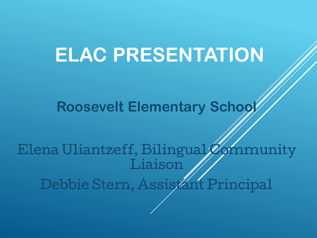# **ELAC PRESENTATION**

**Roosevelt Elementary School**

Elena Uliantzeff, Bilingual Community Liaison

Debbie Stern, Assistant Principal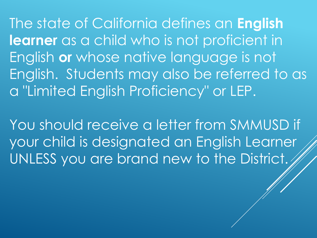The state of California defines an **English learner** as a child who is not proficient in English **or** whose native language is not English. Students may also be referred to as a "Limited English Proficiency" or LEP.

You should receive a letter from SMMUSD if your child is designated an English Learner UNLESS you are brand new to the District.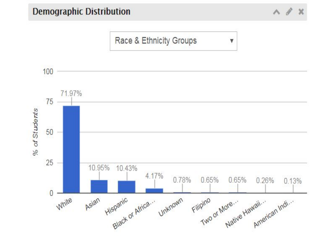% of Students



 $\wedge$   $\theta$   $x$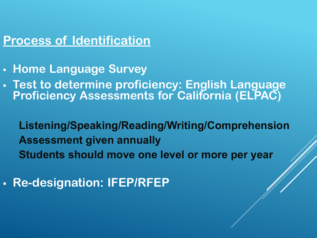#### **Process of Identification**

- **Home Language Survey**
- **Test to determine proficiency: English Language Proficiency Assessments for California (ELPAC)**

**Listening/Speaking/Reading/Writing/Comprehension Assessment given annually Students should move one level or more per year** 

▪ **Re-designation: IFEP/RFEP**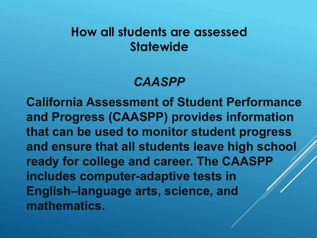## **How all students are assessed Statewide**

# *CAASPP*

**California Assessment of Student Performance and Progress (CAASPP) provides information that can be used to monitor student progress and ensure that all students leave high school ready for college and career. The CAASPP includes computer-adaptive tests in English–language arts, science, and mathematics.**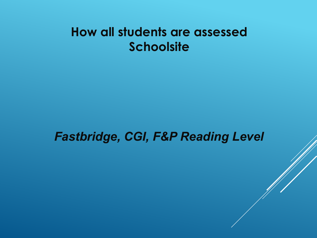## **How all students are assessed Schoolsite**

#### *Fastbridge, CGI, F&P Reading Level*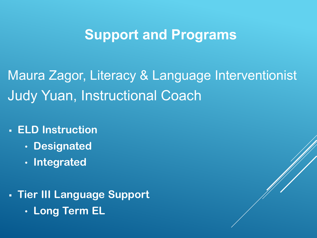# **Support and Programs**

Maura Zagor, Literacy & Language Interventionist Judy Yuan, Instructional Coach

- **ELD Instruction**
	- **Designated**
	- **Integrated**
- **Tier III Language Support** • **Long Term EL**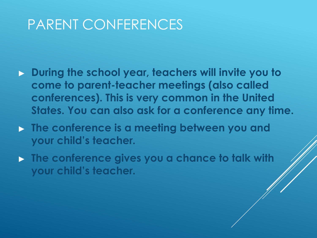# PARENT CONFERENCES

- ▶ **During the school year, teachers will invite you to come to parent-teacher meetings (also called conferences). This is very common in the United States. You can also ask for a conference any time.**
- ▶ **The conference is a meeting between you and your child's teacher.**
- ▶ **The conference gives you a chance to talk with your child's teacher.**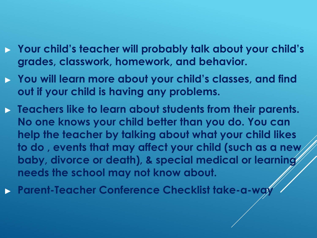- ▶ **Your child's teacher will probably talk about your child's grades, classwork, homework, and behavior.**
- ▶ **You will learn more about your child's classes, and find out if your child is having any problems.**
- ▶ **Teachers like to learn about students from their parents. No one knows your child better than you do. You can help the teacher by talking about what your child likes to do , events that may affect your child (such as a new baby, divorce or death), & special medical or learning needs the school may not know about.**
- ▶ **Parent-Teacher Conference Checklist take-a-way**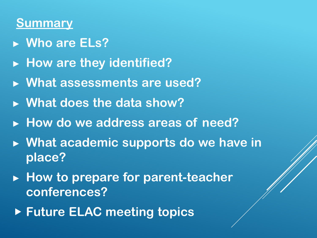#### **Summary**

- ▶ **Who are ELs?**
- ▶ **How are they identified?**
- ▶ **What assessments are used?**
- ▶ **What does the data show?**
- ▶ **How do we address areas of need?**
- ▶ **What academic supports do we have in place?**
- ▶ **How to prepare for parent-teacher conferences?**
- ▶ **Future ELAC meeting topics**